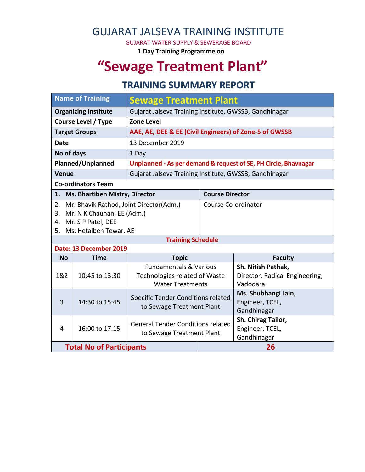## GUJARAT JALSEVA TRAINING INSTITUTE

GUJARAT WATER SUPPLY & SEWERAGE BOARD

**1 Day Training Programme on**

# **"Sewage Treatment Plant"**

### **TRAINING SUMMARY REPORT**

| <b>Name of Training</b>                            |                                       | <b>Sewage Treatment Plant</b>                                   |                     |                                |  |  |  |
|----------------------------------------------------|---------------------------------------|-----------------------------------------------------------------|---------------------|--------------------------------|--|--|--|
| <b>Organizing Institute</b>                        |                                       | Gujarat Jalseva Training Institute, GWSSB, Gandhinagar          |                     |                                |  |  |  |
| <b>Course Level / Type</b>                         |                                       | <b>Zone Level</b>                                               |                     |                                |  |  |  |
| <b>Target Groups</b>                               |                                       | AAE, AE, DEE & EE (Civil Engineers) of Zone-5 of GWSSB          |                     |                                |  |  |  |
| <b>Date</b>                                        |                                       | 13 December 2019                                                |                     |                                |  |  |  |
| No of days                                         |                                       | 1 Day                                                           |                     |                                |  |  |  |
| Planned/Unplanned                                  |                                       | Unplanned - As per demand & request of SE, PH Circle, Bhavnagar |                     |                                |  |  |  |
| <b>Venue</b>                                       |                                       | Gujarat Jalseva Training Institute, GWSSB, Gandhinagar          |                     |                                |  |  |  |
| <b>Co-ordinators Team</b>                          |                                       |                                                                 |                     |                                |  |  |  |
| 1.                                                 | <b>Ms. Bhartiben Mistry, Director</b> |                                                                 |                     | <b>Course Director</b>         |  |  |  |
| 2.                                                 |                                       | Mr. Bhavik Rathod, Joint Director(Adm.)                         | Course Co-ordinator |                                |  |  |  |
| 3.                                                 | Mr. N K Chauhan, EE (Adm.)            |                                                                 |                     |                                |  |  |  |
| Mr. S P Patel, DEE<br>4.                           |                                       |                                                                 |                     |                                |  |  |  |
| Ms. Hetalben Tewar, AE<br>5.                       |                                       |                                                                 |                     |                                |  |  |  |
| <b>Training Schedule</b><br>Date: 13 December 2019 |                                       |                                                                 |                     |                                |  |  |  |
| <b>No</b><br><b>Time</b>                           |                                       | <b>Topic</b>                                                    |                     | <b>Faculty</b>                 |  |  |  |
|                                                    | 10:45 to 13:30                        | <b>Fundamentals &amp; Various</b>                               |                     | Sh. Nitish Pathak,             |  |  |  |
| 1&2                                                |                                       | Technologies related of Waste                                   |                     | Director, Radical Engineering, |  |  |  |
|                                                    |                                       | <b>Water Treatments</b>                                         |                     | Vadodara                       |  |  |  |
|                                                    | 14:30 to 15:45                        | Specific Tender Conditions related<br>to Sewage Treatment Plant |                     | Ms. Shubhangi Jain,            |  |  |  |
| 3                                                  |                                       |                                                                 |                     | Engineer, TCEL,                |  |  |  |
|                                                    |                                       |                                                                 |                     | Gandhinagar                    |  |  |  |
|                                                    | 16:00 to 17:15                        | <b>General Tender Conditions related</b>                        |                     | Sh. Chirag Tailor,             |  |  |  |
| 4                                                  |                                       | to Sewage Treatment Plant                                       |                     | Engineer, TCEL,<br>Gandhinagar |  |  |  |
|                                                    |                                       |                                                                 |                     |                                |  |  |  |
|                                                    | <b>Total No of Participants</b>       |                                                                 | 26                  |                                |  |  |  |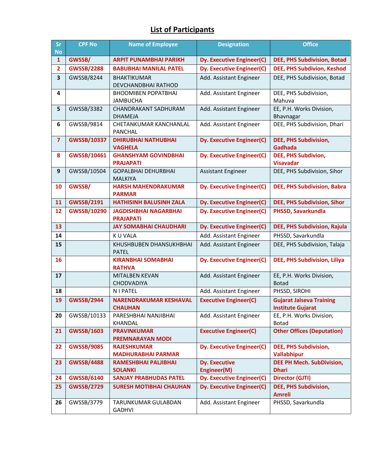#### **List of Participants**

| Sr<br><b>No</b>         | <b>CPF No</b>      | <b>Name of Employee</b>                          | <b>Designation</b>                  | <b>Office</b>                                               |
|-------------------------|--------------------|--------------------------------------------------|-------------------------------------|-------------------------------------------------------------|
| $\mathbf{1}$            | GWSSB/             | <b>ARPIT PUNAMBHAI PARIKH</b>                    | Dy. Executive Engineer(C)           | <b>DEE, PHS Subdivision, Botad</b>                          |
| $\overline{2}$          | <b>GWSSB/2288</b>  | <b>BABUBHAI MANILAL PATEL</b>                    | <b>Dy. Executive Engineer(C)</b>    | DEE, PHS Subdivion, Keshod                                  |
| 3                       | GWSSB/8244         | <b>BHAKTIKUMAR</b><br>DEVCHANDBHAI RATHOD        | Add. Assistant Engineer             | DEE, PHS Subdivision, Botad                                 |
| 4                       |                    | <b>BHOOMIBEN POPATBHAI</b><br><b>JAMBUCHA</b>    | Add. Assistant Engineer             | DEE, PHS Subdivision,<br>Mahuva                             |
| 5                       | GWSSB/3382         | <b>CHANDRAKANT SADHURAM</b><br><b>DHAMEJA</b>    | Add. Assistant Engineer             | EE, P.H. Works Division,<br>Bhavnagar                       |
| 6                       | GWSSB/9814         | CHETANKUMAR KANCHANLAL<br><b>PANCHAL</b>         | Add. Assistant Engineer             | DEE, PHS Subdivision, Dhari                                 |
| $\overline{\mathbf{z}}$ | <b>GWSSB/10337</b> | <b>DHIRUBHAI NATHUBHAI</b><br><b>VAGHELA</b>     | Dy. Executive Engineer(C)           | <b>DEE, PHS Subdivision,</b><br>Gadhada                     |
| 8                       | GWSSB/10461        | <b>GHANSHYAM GOVINDBHAI</b><br><b>PRAJAPATI</b>  | <b>Dy. Executive Engineer(C)</b>    | DEE, PHS Subdivion,<br><b>Visavadar</b>                     |
| 9                       | GWSSB/10504        | <b>GOPALBHAI DEHURBHAI</b><br><b>MALKIYA</b>     | <b>Assistant Engineer</b>           | DEE, PHS Subdivision, Sihor                                 |
| 10                      | GWSSB/             | <b>HARSH MAHENDRAKUMAR</b><br><b>PARMAR</b>      | Dy. Executive Engineer(C)           | DEE, PHS Subdivision, Babra                                 |
| 11                      | <b>GWSSB/2191</b>  | <b>HATHISINH BALUSINH ZALA</b>                   | Dy. Executive Engineer(C)           | <b>DEE, PHS Subdivision, Sihor</b>                          |
| 12                      | GWSSB/10290        | <b>JAGDISHBHAI NAGARBHAI</b><br><b>PRAJAPATI</b> | Dy. Executive Engineer(C)           | PHSSD, Savarkundla                                          |
| 13                      |                    | <b>JAY SOMABHAI CHAUDHARI</b>                    | <b>Dy. Executive Engineer(C)</b>    | <b>DEE, PHS Subdivision, Rajula</b>                         |
| 14                      |                    | K U VALA                                         | Add. Assistant Engineer             | PHSSD, Savarkundla                                          |
| 15                      |                    | KHUSHBUBEN DHANSUKHBHAI<br><b>PATEL</b>          | Add. Assistant Engineer             | DEE, PHS Subdivision, Talaja                                |
| 16                      |                    | <b>KIRANBHAI SOMABHAI</b><br><b>RATHVA</b>       | Dy. Executive Engineer(C)           | <b>DEE, PHS Subdivision, Liliya</b>                         |
| 17                      |                    | <b>MITALBEN KEVAN</b><br><b>CHODVADIYA</b>       | Add. Assistant Engineer             | EE, P.H. Works Division,<br><b>Botad</b>                    |
| 18                      |                    | <b>NIPATEL</b>                                   | Add. Assistant Engineer             | PHSSD, SIROHI                                               |
| 19                      | <b>GWSSB/2944</b>  | <b>NARENDRAKUMAR KESHAVAL</b><br><b>CHAUHAN</b>  | <b>Executive Engineer(C)</b>        | <b>Gujarat Jalseva Training</b><br><b>Institute Gujarat</b> |
| 20                      | GWSSB/10133        | PARESHBHAI NANJIBHAI<br>KHANDAL                  | Add. Assistant Engineer             | EE, P.H. Works Division,<br><b>Botad</b>                    |
| 21                      | <b>GWSSB/1603</b>  | <b>PRAVINKUMAR</b><br><b>PREMNARAYAN MODI</b>    | <b>Executive Engineer(C)</b>        | <b>Other Offices (Deputation)</b>                           |
| 22                      | <b>GWSSB/9085</b>  | <b>RAJESHKUMAR</b><br><b>MADHURABHAI PARMAR</b>  | <b>Dy. Executive Engineer(C)</b>    | <b>DEE, PHS Subdivision,</b><br>Vallabhipur                 |
| 23                      | <b>GWSSB/4488</b>  | RAMESHBHAI PALJIBHAI<br><b>SOLANKI</b>           | <b>Dy. Executive</b><br>Engineer(M) | <b>DEE PH Mech. SubDivision,</b><br><b>Dhari</b>            |
| 24                      | <b>GWSSB/6140</b>  | <b>SANJAY PRABHUDAS PATEL</b>                    | Dy. Executive Engineer(C)           | Director (GJTI)                                             |
| 25                      | <b>GWSSB/2729</b>  | <b>SURESH MOTIBHAI CHAUHAN</b>                   | <b>Dy. Executive Engineer(C)</b>    | <b>DEE, PHS Subdivision,</b><br><b>Amreli</b>               |
| 26                      | GWSSB/3779         | TARUNKUMAR GULABDAN<br><b>GADHVI</b>             | Add. Assistant Engineer             | PHSSD, Savarkundla                                          |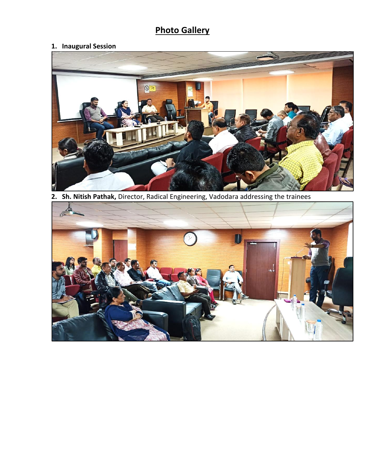## **Photo Gallery**

#### **1. Inaugural Session**



**2. Sh. Nitish Pathak,** Director, Radical Engineering, Vadodara addressing the trainees